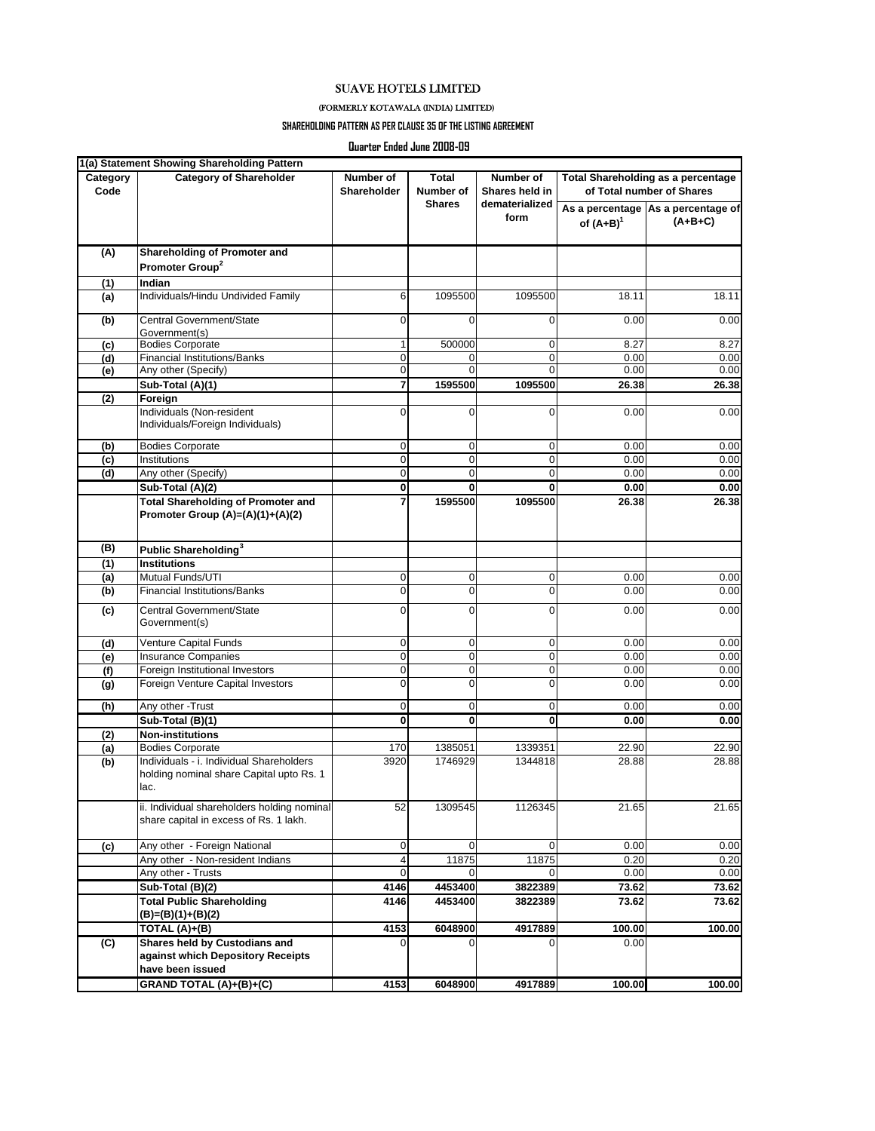## SUAVE HOTELS LIMITED

## (FORMERLY KOTAWALA (INDIA) LIMITED)

## **SHAREHOLDING PATTERN AS PER CLAUSE 35 OF THE LISTING AGREEMENT**

**Quarter Ended June 2008-09**

| Category<br>Code | <b>Category of Shareholder</b>                                                               | Number of<br>Shareholder | Total<br>Number of<br><b>Shares</b> | Number of<br>Shares held in<br>dematerialized<br>form | <b>Total Shareholding as a percentage</b><br>of Total number of Shares |                                                 |
|------------------|----------------------------------------------------------------------------------------------|--------------------------|-------------------------------------|-------------------------------------------------------|------------------------------------------------------------------------|-------------------------------------------------|
|                  |                                                                                              |                          |                                     |                                                       | of $(A+B)^1$                                                           | As a percentage As a percentage of<br>$(A+B+C)$ |
| (A)              | Shareholding of Promoter and                                                                 |                          |                                     |                                                       |                                                                        |                                                 |
|                  | Promoter Group <sup>2</sup>                                                                  |                          |                                     |                                                       |                                                                        |                                                 |
| (1)              | Indian                                                                                       |                          |                                     |                                                       |                                                                        |                                                 |
| (a)              | Individuals/Hindu Undivided Family                                                           | 6                        | 1095500                             | 1095500                                               | 18.11                                                                  | 18.11                                           |
| (b)              | Central Government/State<br>Government(s)                                                    | $\mathbf 0$              | 0                                   | 0                                                     | 0.00                                                                   | 0.00                                            |
| (c)              | <b>Bodies Corporate</b>                                                                      | 1                        | 500000                              | 0                                                     | 8.27                                                                   | 8.27                                            |
| (d)              | <b>Financial Institutions/Banks</b>                                                          | $\mathbf 0$              | 0                                   | 0                                                     | 0.00                                                                   | 0.00                                            |
| (e)              | Any other (Specify)                                                                          | $\mathbf 0$              | $\Omega$                            | $\Omega$                                              | 0.00                                                                   | 0.00                                            |
|                  | Sub-Total (A)(1)                                                                             | 7                        | 1595500                             | 1095500                                               | 26.38                                                                  | 26.38                                           |
|                  |                                                                                              |                          |                                     |                                                       |                                                                        |                                                 |
| (2)              | Foreign<br>Individuals (Non-resident<br>Individuals/Foreign Individuals)                     | $\mathbf 0$              | 0                                   | 0                                                     | 0.00                                                                   | 0.00                                            |
| (b)              | <b>Bodies Corporate</b>                                                                      | $\mathbf 0$              | 0                                   | 0                                                     | 0.00                                                                   | 0.00                                            |
| (c)              | Institutions                                                                                 | $\mathbf 0$              | 0                                   | $\mathbf 0$                                           | 0.00                                                                   | 0.00                                            |
| (d)              | Any other (Specify)                                                                          | $\mathbf 0$              | 0                                   | 0                                                     | 0.00                                                                   | 0.00                                            |
|                  | Sub-Total (A)(2)                                                                             | $\mathbf 0$              | 0                                   | 0                                                     | 0.00                                                                   | 0.00                                            |
|                  | <b>Total Shareholding of Promoter and</b>                                                    | $\overline{7}$           | 1595500                             | 1095500                                               | 26.38                                                                  | 26.38                                           |
|                  | Promoter Group (A)=(A)(1)+(A)(2)                                                             |                          |                                     |                                                       |                                                                        |                                                 |
| (B)              | Public Shareholding <sup>3</sup>                                                             |                          |                                     |                                                       |                                                                        |                                                 |
| (1)              | <b>Institutions</b>                                                                          |                          |                                     |                                                       |                                                                        |                                                 |
| (a)              | Mutual Funds/UTI                                                                             | $\mathbf 0$              | 0                                   | $\mathbf 0$                                           | 0.00                                                                   | 0.00                                            |
| (b)              | <b>Financial Institutions/Banks</b>                                                          | $\mathbf 0$              | 0                                   | 0                                                     | 0.00                                                                   | 0.00                                            |
| (c)              | Central Government/State<br>Government(s)                                                    | $\Omega$                 | 0                                   | $\Omega$                                              | 0.00                                                                   | 0.00                                            |
| (d)              | Venture Capital Funds                                                                        | $\mathbf 0$              | 0                                   | 0                                                     | 0.00                                                                   | 0.00                                            |
| (e)              | <b>Insurance Companies</b>                                                                   | $\mathbf 0$              | 0                                   | $\mathbf 0$                                           | 0.00                                                                   | 0.00                                            |
| (f)              | Foreign Institutional Investors                                                              | $\mathbf 0$              | 0                                   | 0                                                     | 0.00                                                                   | 0.00                                            |
| (g)              | Foreign Venture Capital Investors                                                            | $\mathbf 0$              | 0                                   | 0                                                     | 0.00                                                                   | 0.00                                            |
| (h)              | Any other - Trust                                                                            | $\mathbf 0$              | 0                                   | 0                                                     | 0.00                                                                   | 0.00                                            |
|                  | Sub-Total (B)(1)                                                                             | 0                        | 0                                   | O                                                     | 0.00                                                                   | 0.00                                            |
| (2)              | <b>Non-institutions</b>                                                                      |                          |                                     |                                                       |                                                                        |                                                 |
| (a)              | <b>Bodies Corporate</b>                                                                      | 170                      | 1385051                             | 1339351                                               | 22.90                                                                  | 22.90                                           |
| (b)              | Individuals - i. Individual Shareholders<br>holding nominal share Capital upto Rs. 1<br>lac. | 3920                     | 1746929                             | 1344818                                               | 28.88                                                                  | 28.88                                           |
|                  | ii. Individual shareholders holding nominal<br>share capital in excess of Rs. 1 lakh.        | 52                       | 1309545                             | 1126345                                               | 21.65                                                                  | 21.65                                           |
| (c)              | Any other - Foreign National                                                                 | 0                        | 0                                   | 0                                                     | 0.00                                                                   | 0.00                                            |
|                  | Any other - Non-resident Indians                                                             | 4                        | 11875                               | 11875                                                 | 0.20                                                                   | 0.20                                            |
|                  | Any other - Trusts                                                                           | $\mathbf 0$              | 0                                   | 0                                                     | 0.00                                                                   | 0.00                                            |
|                  | Sub-Total (B)(2)                                                                             | 4146                     | 4453400                             | 3822389                                               | 73.62                                                                  | 73.62                                           |
|                  | <b>Total Public Shareholding</b><br>(B)=(B)(1)+(B)(2)                                        | 4146                     | 4453400                             | 3822389                                               | 73.62                                                                  | 73.62                                           |
|                  | TOTAL (A)+(B)                                                                                | 4153                     | 6048900                             | 4917889                                               | 100.00                                                                 | 100.00                                          |
| (C)              | Shares held by Custodians and<br>against which Depository Receipts                           | $\Omega$                 | $\Omega$                            | $\Omega$                                              | 0.00                                                                   |                                                 |
|                  | have been issued                                                                             |                          |                                     |                                                       |                                                                        |                                                 |
|                  | GRAND TOTAL (A)+(B)+(C)                                                                      | 4153                     | 6048900                             | 4917889                                               | 100.00                                                                 | 100.00                                          |